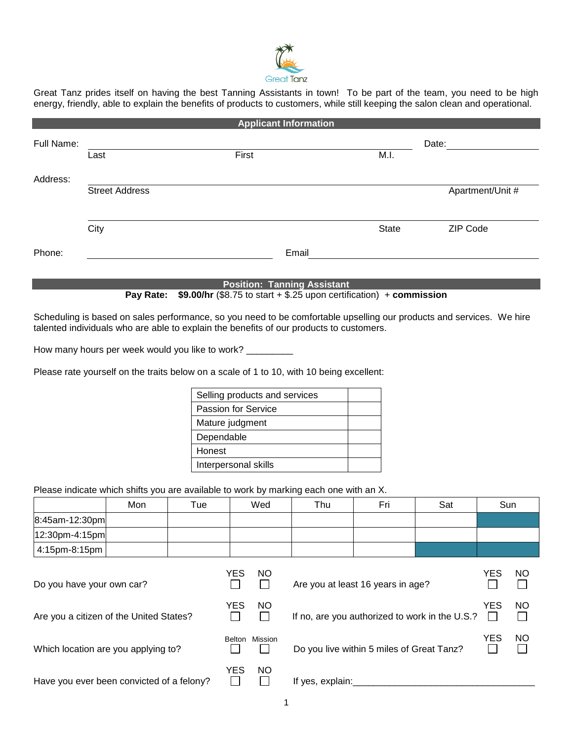

Great Tanz prides itself on having the best Tanning Assistants in town! To be part of the team, you need to be high energy, friendly, able to explain the benefits of products to customers, while still keeping the salon clean and operational.

|            |                       | <b>Applicant Information</b> |       |                  |
|------------|-----------------------|------------------------------|-------|------------------|
| Full Name: |                       |                              |       | Date:            |
|            | Last                  | First                        | M.I.  |                  |
| Address:   |                       |                              |       |                  |
|            | <b>Street Address</b> |                              |       | Apartment/Unit # |
|            |                       |                              |       |                  |
|            | City                  |                              | State | ZIP Code         |
| Phone:     |                       | Email                        |       |                  |
|            |                       |                              |       |                  |
|            |                       | あいしかけん こうすいしょうしん あいっちょうしょ    |       |                  |

**Position: Tanning Assistant**

**Pay Rate: \$9.00/hr** (\$8.75 to start + \$.25 upon certification) + **commission**

Scheduling is based on sales performance, so you need to be comfortable upselling our products and services. We hire talented individuals who are able to explain the benefits of our products to customers.

How many hours per week would you like to work? \_\_\_\_\_\_\_\_\_

Please rate yourself on the traits below on a scale of 1 to 10, with 10 being excellent:

| Selling products and services |  |
|-------------------------------|--|
| <b>Passion for Service</b>    |  |
| Mature judgment               |  |
| Dependable                    |  |
| Honest                        |  |
| Interpersonal skills          |  |

Please indicate which shifts you are available to work by marking each one with an X.

|                    | Mon | Tue | Wed | Thu | Fri | Sat | Sun |
|--------------------|-----|-----|-----|-----|-----|-----|-----|
| $8:45$ am-12:30pm  |     |     |     |     |     |     |     |
| $ 12:30$ pm-4:15pm |     |     |     |     |     |     |     |
| 4:15pm-8:15pm      |     |     |     |     |     |     |     |

| Do you have your own car?                 | YES    | NO.       | Are you at least 16 years in age?              | YES | NO        |
|-------------------------------------------|--------|-----------|------------------------------------------------|-----|-----------|
| Are you a citizen of the United States?   | YES    | <b>NO</b> | If no, are you authorized to work in the U.S.? | YES | <b>NO</b> |
| Which location are you applying to?       | Belton | Mission   | Do you live within 5 miles of Great Tanz?      | YES | <b>NO</b> |
| Have you ever been convicted of a felony? | YES    | <b>NO</b> | If yes, explain:                               |     |           |